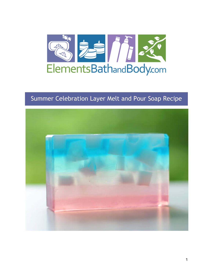

# Summer Celebration Layer Melt and Pour Soap Recipe

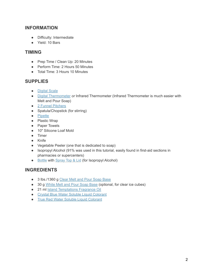# **INFORMATION**

- Difficulty: Intermediate
- Yield: 10 Bars

## **TIMING**

- Prep Time / Clean Up: 20 Minutes
- Perform Time: 2 Hours 50 Minutes
- Total Time: 3 Hours 10 Minutes

## **SUPPLIES**

- [Digital Scale](https://www.elementsbathandbody.com/Escali-Primo-Digital-Scale-Chrome.html)
- [Digital Thermometer](https://www.elementsbathandbody.com/Digital-Pen-Thermometer.html) *or* Infrared Thermometer (Infrared Thermometer is much easier with Melt and Pour Soap)
- [2 Funnel Pitchers](https://www.elementsbathandbody.com/3.5-Cup-Funnel-Pitcher.html)
- Spatula/Chopstick (for stirring)
- [Pipette](https://www.elementsbathandbody.com/Disposable-Pipettes-7-ml.html)
- Plastic Wrap
- Paper Towels
- 10" Silicone Loaf Mold
- Timer
- Knife
- Vegetable Peeler (one that is dedicated to soap)
- Isopropyl Alcohol (91% was used in this tutorial, easily found in first-aid sections in pharmacies or supercenters)
- [Bottle](https://www.elementsbathandbody.com/8-oz-Clear-Bullet-Bottle.html) with [Spray Top & Lid](https://www.elementsbathandbody.com/24-410-Fine-Mist-Sprayer-6.625.html) (for Isopropyl Alcohol)

# **INGREDIENTS**

- 3 lbs./1360 g [Clear Melt and Pour Soap Base](https://www.elementsbathandbody.com/Melt-and-Pour-Soap-Base-Clear.html)
- 30 g [White Melt and Pour Soap Base](https://www.elementsbathandbody.com/Melt-and-Pour-Soap-Base-White.html) (optional, for clear ice cubes)
- 21 ml [Island Temptations Fragrance Oil](https://www.elementsbathandbody.com/Island-Temptations-Tropical-Passionfruit-B-and-BW-type.html)
- [Crystal Blue Water Soluble Liquid Colorant](https://www.elementsbathandbody.com/Liquid-Colorant-Crystal-Blue.html)
- [True Red Water Soluble Liquid Colorant](https://www.elementsbathandbody.com/Liquid-Colorant-True-Red.html)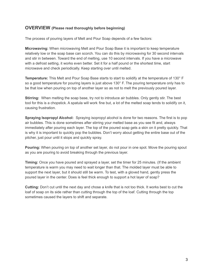### **OVERVIEW (Please read thoroughly before beginning)**

The process of pouring layers of Melt and Pour Soap depends of a few factors:

**Microwaving:** When microwaving Melt and Pour Soap Base it is important to keep temperature relatively low or the soap base can scorch. You can do this by microwaving for 30 second intervals and stir in between. Toward the end of melting, use 10 second intervals. If you have a microwave with a defrost setting, it works even better. Set it for a half pound or the shortest time, start microwave and check periodically. Keep starting over until melted.

**Temperature:** This Melt and Pour Soap Base starts to start to solidify at the temperature of 130° F so a good temperature for pouring layers is just above 130° F. The pouring temperature only has to be that low when pouring on top of another layer so as not to melt the previously poured layer.

**Stirring:** When melting the soap base, try not to introduce air bubbles. Only gently stir. The best tool for this is a chopstick. A spatula will work fine but, a lot of the melted soap tends to solidify on it, causing frustration.

**Spraying Isopropyl Alcohol:** Spraying isopropyl alcohol is done for two reasons. The first is to pop air bubbles. This is done sometimes after stirring your melted base as you see fit and, always immediately after pouring each layer. The top of the poured soap gets a skin on it pretty quickly. That is why it is important to quickly pop the bubbles. Don't worry about getting the entire base out of the pitcher, just pour until it stops and quickly spray.

**Pouring:** When pouring on top of another set layer, do not pour in one spot. Move the pouring spout as you are pouring to avoid breaking through the previous layer.

**Timing:** Once you have poured and sprayed a layer, set the timer for 25 minutes. (If the ambient temperature is warm you may need to wait longer than that. The molded layer must be able to support the next layer, but it should still be warm. To test, with a gloved hand, gently press the poured layer in the center. Does is feel thick enough to support a hot layer of soap?

**Cutting:** Don't cut until the next day and chose a knife that is not too thick. It works best to cut the loaf of soap on its side rather than cutting through the top of the loaf. Cutting through the top sometimes caused the layers to shift and separate.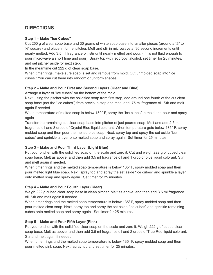# **DIRECTIONS**

#### **Step 1 – Make "Ice Cubes"**

Cut 250 g of clear soap base and 30 grams of white soap base into smaller pieces (around a  $\frac{1}{2}$ " to  $\frac{3}{4}$ " square) and place in funnel pitcher. Melt and stir in microwave at 30 second increments until nearly melted. Add 3.5 ml fragrance oil, stir until nearly melted and pour. (If it's not fluid enough to pour microwave a short time and pour). Spray top with isopropyl alcohol, set timer for 25 minutes, and set pitcher aside for next step.

In the meantime cut 222 g of clear soap base.

When timer rings, make sure soap is set and remove from mold. Cut unmolded soap into "ice cubes." You can cut them into random or uniform shapes.

#### **Step 2 – Make and Pour First and Second Layers (Clear and Blue)**

Arrange a layer of "ice cubes" on the bottom of the mold.

Next, using the pitcher with the solidified soap from first step, add around one fourth of the cut clear soap base (not the "ice cubes") from previous step and melt, add .75 ml fragrance oil. Stir and melt again if needed.

When temperature of melted soap is below 150° F, spray the "ice cubes" in mold and pour and spray again.

Transfer the remaining cut clear soap base into pitcher of just poured soap. Melt and add 2.5 ml fragrance oil and 8 drops of Crystal Blue liquid colorant. When temperature gets below 135° F, spray molded soap and then pour the melted blue soap. Next, spray top and spray the set aside "ice cubes" and sprinkle a layer onto melted soap and spray again. Set timer for 25 minutes.

#### **Step 3 – Make and Pour Third Layer (Light Blue)**

Put your pitcher with the solidified soap on the scale and zero it. Cut and weigh 222 g of cubed clear soap base. Melt as above, and then add 3.5 ml fragrance oil and 1 drop of blue liquid colorant. Stir and melt again if needed.

When timer rings and the melted soap temperature is below 135° F, spray molded soap and then pour melted light blue soap. Next, spray top and spray the set aside "ice cubes" and sprinkle a layer onto melted soap and spray again. Set timer for 25 minutes.

#### **Step 4 – Make and Pour Fourth Layer (Clear)**

Weigh 222 g cubed clear soap base in clean pitcher. Melt as above, and then add 3.5 ml fragrance oil. Stir and melt again if needed.

When timer rings and the melted soap temperature is below 135° F, spray molded soap and then pour melted clear soap. Next, spray top and spray the set aside "ice cubes" and sprinkle remaining cubes onto melted soap and spray again. Set timer for 25 minutes.

#### **Step 5 – Make and Pour Fifth Layer (Pink)**

Put your pitcher with the solidified clear soap on the scale and zero it. Weigh 222 g of cubed clear soap base. Melt as above, and then add 3.5 ml fragrance oil and 2 drops of True Red liquid colorant. Stir and melt again if needed.

When timer rings and the melted soap temperature is below 135° F, spray molded soap and then pour melted pink soap. Next, spray top and set timer for 25 minutes.